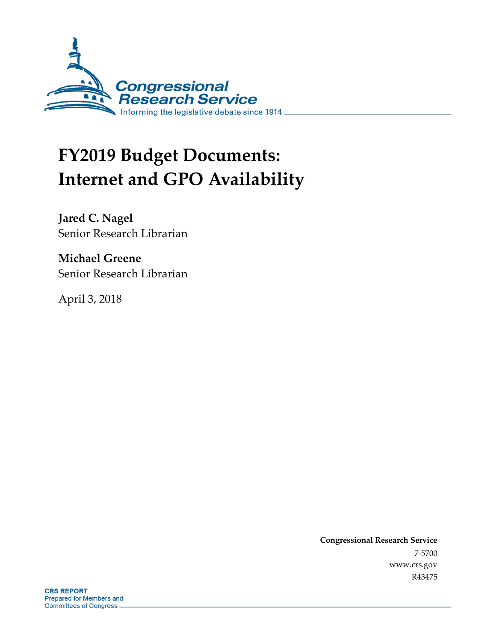

# **FY2019 Budget Documents: Internet and GPO Availability**

**Jared C. Nagel** Senior Research Librarian

**Michael Greene** Senior Research Librarian

April 3, 2018

**Congressional Research Service** 7-5700 www.crs.gov R43475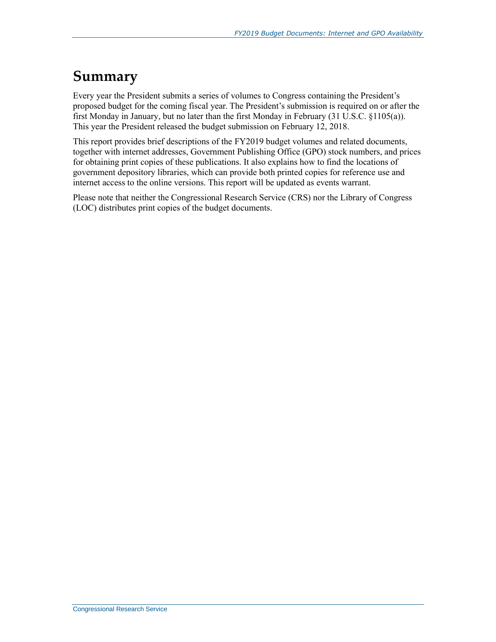### **Summary**

Every year the President submits a series of volumes to Congress containing the President's proposed budget for the coming fiscal year. The President's submission is required on or after the first Monday in January, but no later than the first Monday in February (31 U.S.C. §1105(a)). This year the President released the budget submission on February 12, 2018.

This report provides brief descriptions of the FY2019 budget volumes and related documents, together with internet addresses, Government Publishing Office (GPO) stock numbers, and prices for obtaining print copies of these publications. It also explains how to find the locations of government depository libraries, which can provide both printed copies for reference use and internet access to the online versions. This report will be updated as events warrant.

Please note that neither the Congressional Research Service (CRS) nor the Library of Congress (LOC) distributes print copies of the budget documents.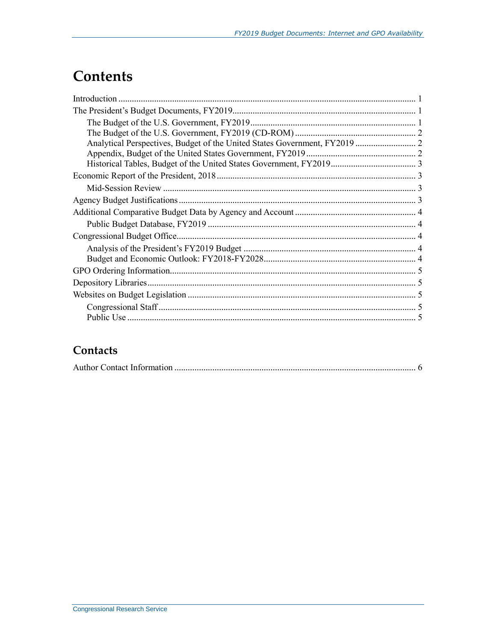## **Contents**

### Contacts

|--|--|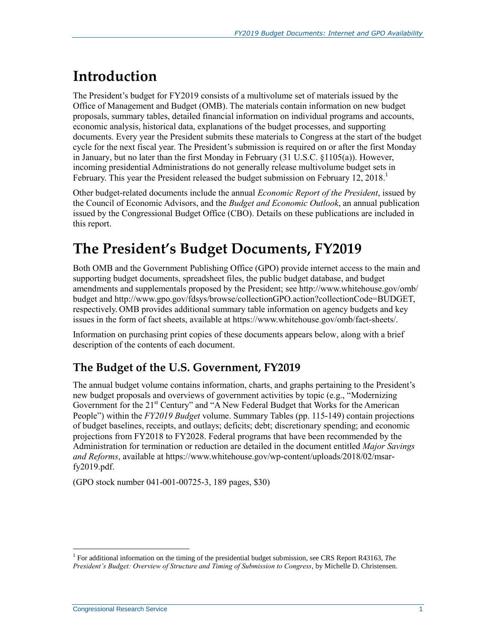# **Introduction**

The President's budget for FY2019 consists of a multivolume set of materials issued by the Office of Management and Budget (OMB). The materials contain information on new budget proposals, summary tables, detailed financial information on individual programs and accounts, economic analysis, historical data, explanations of the budget processes, and supporting documents. Every year the President submits these materials to Congress at the start of the budget cycle for the next fiscal year. The President's submission is required on or after the first Monday in January, but no later than the first Monday in February (31 U.S.C. §1105(a)). However, incoming presidential Administrations do not generally release multivolume budget sets in February. This year the President released the budget submission on February 12, 2018.

Other budget-related documents include the annual *Economic Report of the President*, issued by the Council of Economic Advisors, and the *Budget and Economic Outlook*, an annual publication issued by the Congressional Budget Office (CBO). Details on these publications are included in this report.

## **The President's Budget Documents, FY2019**

Both OMB and the Government Publishing Office (GPO) provide internet access to the main and supporting budget documents, spreadsheet files, the public budget database, and budget amendments and supplementals proposed by the President; see http://www.whitehouse.gov/omb/ budget and http://www.gpo.gov/fdsys/browse/collectionGPO.action?collectionCode=BUDGET, respectively. OMB provides additional summary table information on agency budgets and key issues in the form of fact sheets, available at https://www.whitehouse.gov/omb/fact-sheets/.

Information on purchasing print copies of these documents appears below, along with a brief description of the contents of each document.

### **The Budget of the U.S. Government, FY2019**

The annual budget volume contains information, charts, and graphs pertaining to the President's new budget proposals and overviews of government activities by topic (e.g., "Modernizing Government for the 21<sup>st</sup> Century" and "A New Federal Budget that Works for the American People") within the *FY2019 Budget* volume. Summary Tables (pp. 115-149) contain projections of budget baselines, receipts, and outlays; deficits; debt; discretionary spending; and economic projections from FY2018 to FY2028. Federal programs that have been recommended by the Administration for termination or reduction are detailed in the document entitled *Major Savings and Reforms*, available at https://www.whitehouse.gov/wp-content/uploads/2018/02/msarfy2019.pdf.

(GPO stock number 041-001-00725-3, 189 pages, \$30)

<sup>&</sup>lt;sup>1</sup> For additional information on the timing of the presidential budget submission, see CRS Report R43163, *The President's Budget: Overview of Structure and Timing of Submission to Congress*, by Michelle D. Christensen.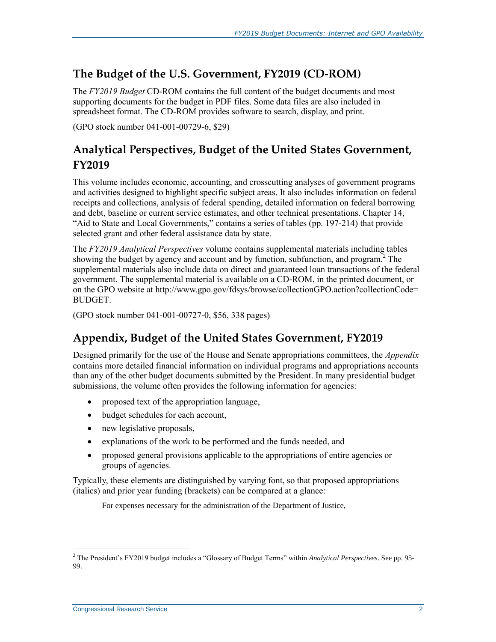#### **The Budget of the U.S. Government, FY2019 (CD-ROM)**

The *FY2019 Budget* CD-ROM contains the full content of the budget documents and most supporting documents for the budget in PDF files. Some data files are also included in spreadsheet format. The CD-ROM provides software to search, display, and print.

(GPO stock number 041-001-00729-6, \$29)

### **Analytical Perspectives, Budget of the United States Government, FY2019**

This volume includes economic, accounting, and crosscutting analyses of government programs and activities designed to highlight specific subject areas. It also includes information on federal receipts and collections, analysis of federal spending, detailed information on federal borrowing and debt, baseline or current service estimates, and other technical presentations. Chapter 14, "Aid to State and Local Governments," contains a series of tables (pp. 197-214) that provide selected grant and other federal assistance data by state.

The *FY2019 Analytical Perspectives* volume contains supplemental materials including tables showing the budget by agency and account and by function, subfunction, and program.<sup>2</sup> The supplemental materials also include data on direct and guaranteed loan transactions of the federal government. The supplemental material is available on a CD-ROM, in the printed document, or on the GPO website at http://www.gpo.gov/fdsys/browse/collectionGPO.action?collectionCode= BUDGET.

(GPO stock number 041-001-00727-0, \$56, 338 pages)

### **Appendix, Budget of the United States Government, FY2019**

Designed primarily for the use of the House and Senate appropriations committees, the *Appendix* contains more detailed financial information on individual programs and appropriations accounts than any of the other budget documents submitted by the President. In many presidential budget submissions, the volume often provides the following information for agencies:

- proposed text of the appropriation language,
- budget schedules for each account,
- new legislative proposals,
- explanations of the work to be performed and the funds needed, and
- proposed general provisions applicable to the appropriations of entire agencies or groups of agencies.

Typically, these elements are distinguished by varying font, so that proposed appropriations (italics) and prior year funding (brackets) can be compared at a glance:

For expenses necessary for the administration of the Department of Justice,

<sup>2</sup> The President's FY2019 budget includes a "Glossary of Budget Terms" within *Analytical Perspectives*. See pp. 95- 99.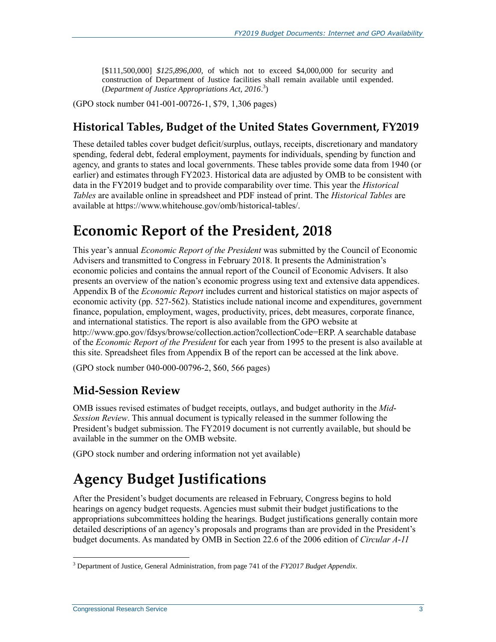[\$111,500,000] *\$125,896,000*, of which not to exceed \$4,000,000 for security and construction of Department of Justice facilities shall remain available until expended. (*Department of Justice Appropriations Act, 2016*. 3 )

(GPO stock number 041-001-00726-1, \$79, 1,306 pages)

#### **Historical Tables, Budget of the United States Government, FY2019**

These detailed tables cover budget deficit/surplus, outlays, receipts, discretionary and mandatory spending, federal debt, federal employment, payments for individuals, spending by function and agency, and grants to states and local governments. These tables provide some data from 1940 (or earlier) and estimates through FY2023. Historical data are adjusted by OMB to be consistent with data in the FY2019 budget and to provide comparability over time. This year the *Historical Tables* are available online in spreadsheet and PDF instead of print. The *Historical Tables* are available at https://www.whitehouse.gov/omb/historical-tables/.

### **Economic Report of the President, 2018**

This year's annual *Economic Report of the President* was submitted by the Council of Economic Advisers and transmitted to Congress in February 2018. It presents the Administration's economic policies and contains the annual report of the Council of Economic Advisers. It also presents an overview of the nation's economic progress using text and extensive data appendices. Appendix B of the *Economic Report* includes current and historical statistics on major aspects of economic activity (pp. 527-562). Statistics include national income and expenditures, government finance, population, employment, wages, productivity, prices, debt measures, corporate finance, and international statistics. The report is also available from the GPO website at http://www.gpo.gov/fdsys/browse/collection.action?collectionCode=ERP. A searchable database of the *Economic Report of the President* for each year from 1995 to the present is also available at this site. Spreadsheet files from Appendix B of the report can be accessed at the link above.

(GPO stock number 040-000-00796-2, \$60, 566 pages)

#### **Mid-Session Review**

OMB issues revised estimates of budget receipts, outlays, and budget authority in the *Mid-Session Review*. This annual document is typically released in the summer following the President's budget submission. The FY2019 document is not currently available, but should be available in the summer on the OMB website.

(GPO stock number and ordering information not yet available)

# **Agency Budget Justifications**

After the President's budget documents are released in February, Congress begins to hold hearings on agency budget requests. Agencies must submit their budget justifications to the appropriations subcommittees holding the hearings. Budget justifications generally contain more detailed descriptions of an agency's proposals and programs than are provided in the President's budget documents. As mandated by OMB in Section 22.6 of the 2006 edition of *Circular A-11*

<sup>3</sup> Department of Justice, General Administration, from page 741 of the *FY2017 Budget Appendix*.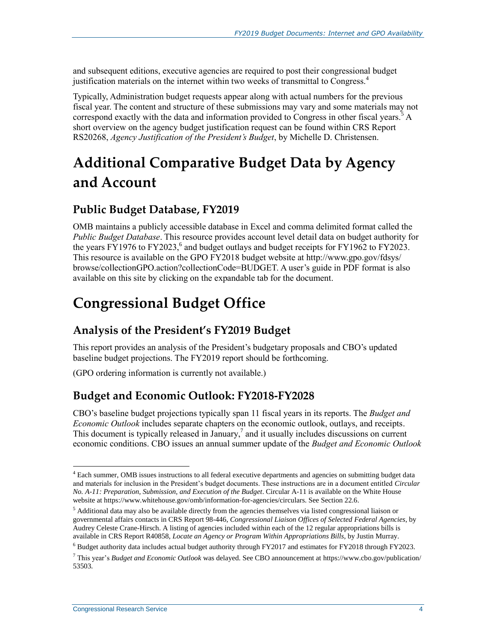and subsequent editions, executive agencies are required to post their congressional budget justification materials on the internet within two weeks of transmittal to Congress.<sup>4</sup>

Typically, Administration budget requests appear along with actual numbers for the previous fiscal year. The content and structure of these submissions may vary and some materials may not correspond exactly with the data and information provided to Congress in other fiscal years.<sup>5</sup> A short overview on the agency budget justification request can be found within CRS Report RS20268, *Agency Justification of the President's Budget*, by Michelle D. Christensen.

# **Additional Comparative Budget Data by Agency and Account**

### **Public Budget Database, FY2019**

OMB maintains a publicly accessible database in Excel and comma delimited format called the *Public Budget Database*. This resource provides account level detail data on budget authority for the years FY1976 to FY2023,<sup>6</sup> and budget outlays and budget receipts for FY1962 to FY2023. This resource is available on the GPO FY2018 budget website at http://www.gpo.gov/fdsys/ browse/collectionGPO.action?collectionCode=BUDGET. A user's guide in PDF format is also available on this site by clicking on the expandable tab for the document.

# **Congressional Budget Office**

### **Analysis of the President's FY2019 Budget**

This report provides an analysis of the President's budgetary proposals and CBO's updated baseline budget projections. The FY2019 report should be forthcoming.

(GPO ordering information is currently not available.)

#### **Budget and Economic Outlook: FY2018-FY2028**

CBO's baseline budget projections typically span 11 fiscal years in its reports. The *Budget and Economic Outlook* includes separate chapters on the economic outlook, outlays, and receipts. This document is typically released in January,<sup>7</sup> and it usually includes discussions on current economic conditions. CBO issues an annual summer update of the *Budget and Economic Outlook*

 $<sup>4</sup>$  Each summer, OMB issues instructions to all federal executive departments and agencies on submitting budget data</sup> and materials for inclusion in the President's budget documents. These instructions are in a document entitled *Circular No. A-11: Preparation, Submission, and Execution of the Budget*. Circular A-11 is available on the White House website at https://www.whitehouse.gov/omb/information-for-agencies/circulars. See Section 22.6.

<sup>5</sup> Additional data may also be available directly from the agencies themselves via listed congressional liaison or governmental affairs contacts in CRS Report 98-446, *Congressional Liaison Offices of Selected Federal Agencies*, by Audrey Celeste Crane-Hirsch. A listing of agencies included within each of the 12 regular appropriations bills is available in CRS Report R40858, *Locate an Agency or Program Within Appropriations Bills*, by Justin Murray.

<sup>6</sup> Budget authority data includes actual budget authority through FY2017 and estimates for FY2018 through FY2023.

<sup>7</sup> This year's *Budget and Economic Outlook* was delayed. See CBO announcement at https://www.cbo.gov/publication/ 53503.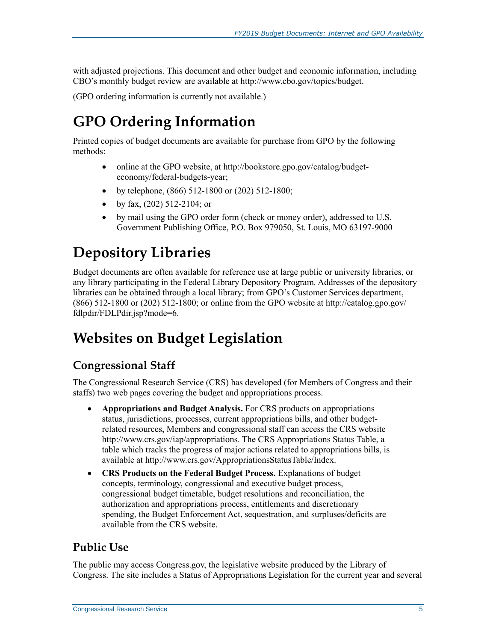with adjusted projections. This document and other budget and economic information, including CBO's monthly budget review are available at http://www.cbo.gov/topics/budget.

(GPO ordering information is currently not available.)

## **GPO Ordering Information**

Printed copies of budget documents are available for purchase from GPO by the following methods:

- online at the GPO website, at http://bookstore.gpo.gov/catalog/budgeteconomy/federal-budgets-year;
- by telephone,  $(866)$  512-1800 or  $(202)$  512-1800;
- by fax,  $(202)$  512-2104; or
- by mail using the GPO order form (check or money order), addressed to U.S. Government Publishing Office, P.O. Box 979050, St. Louis, MO 63197-9000

# **Depository Libraries**

Budget documents are often available for reference use at large public or university libraries, or any library participating in the Federal Library Depository Program. Addresses of the depository libraries can be obtained through a local library; from GPO's Customer Services department, (866) 512-1800 or (202) 512-1800; or online from the GPO website at http://catalog.gpo.gov/ fdlpdir/FDLPdir.jsp?mode=6.

## **Websites on Budget Legislation**

### **Congressional Staff**

The Congressional Research Service (CRS) has developed (for Members of Congress and their staffs) two web pages covering the budget and appropriations process.

- **Appropriations and Budget Analysis.** For CRS products on appropriations status, jurisdictions, processes, current appropriations bills, and other budgetrelated resources, Members and congressional staff can access the CRS website http://www.crs.gov/iap/appropriations. The CRS Appropriations Status Table, a table which tracks the progress of major actions related to appropriations bills, is available at http://www.crs.gov/AppropriationsStatusTable/Index.
- **CRS Products on the Federal Budget Process.** Explanations of budget concepts, terminology, congressional and executive budget process, congressional budget timetable, budget resolutions and reconciliation, the authorization and appropriations process, entitlements and discretionary spending, the Budget Enforcement Act, sequestration, and surpluses/deficits are available from the CRS website.

### **Public Use**

The public may access Congress.gov, the legislative website produced by the Library of Congress. The site includes a Status of Appropriations Legislation for the current year and several